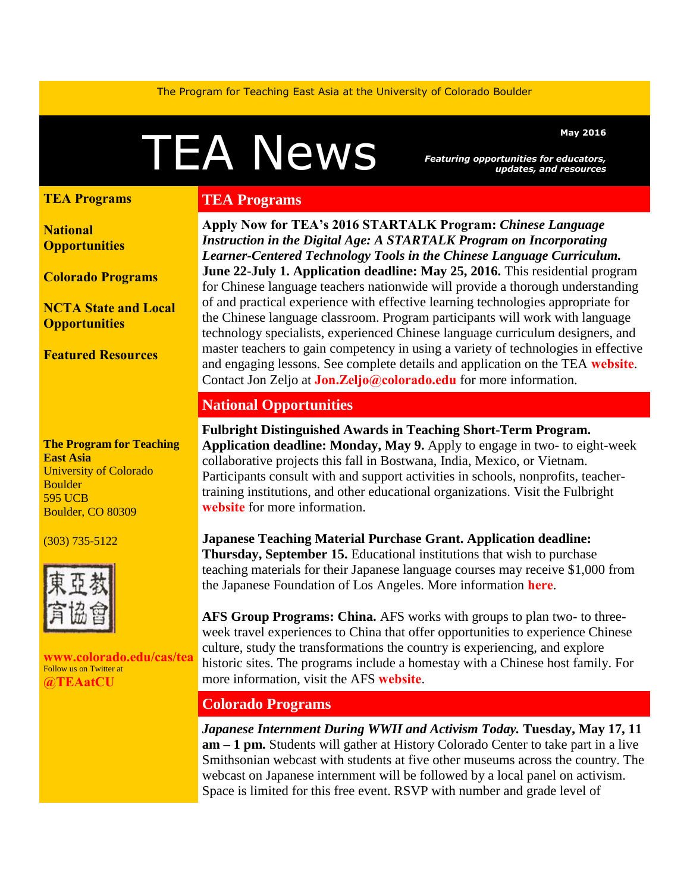The Program for Teaching East Asia at the University of Colorado Boulder

# Mey 2016<br>Featuring opportunities for educators,<br>and resources

*Featuring opportunities for educators, updates, and resources* 

#### **[TEA Programs](#page-0-0)**

**[National](#page-0-1) [Opportunities](#page-0-1)**

**[Colorado Programs](#page-0-2)**

**[NCTA State and Local](#page-1-0)  [Opportunities](#page-1-0)** 

**[Featured Resources](#page-1-1)** 

**The Program for Teaching East Asia** University of Colorado **Boulder** 595 UCB Boulder, CO 80309

#### (303) 735-5122



**[www.colorado.edu/cas/tea](http://www.colorado.edu/cas/tea)** Follow us on Twitter at **[@TEAatCU](https://twitter.com/TEAatCU)**

#### <span id="page-0-0"></span>**TEA Programs**

**Apply Now for TEA's 2016 STARTALK Program:** *Chinese Language Instruction in the Digital Age: A STARTALK Program on Incorporating Learner-Centered Technology Tools in the Chinese Language Curriculum.* **June 22-July 1. Application deadline: May 25, 2016.** This residential program for Chinese language teachers nationwide will provide a thorough understanding of and practical experience with effective learning technologies appropriate for the Chinese language classroom. Program participants will work with language technology specialists, experienced Chinese language curriculum designers, and master teachers to gain competency in using a variety of technologies in effective and engaging lessons. See complete details and application on the TEA **[website](http://www.colorado.edu/cas/tea/programs/startalk-program.html)**. Contact Jon Zeljo at **[Jon.Zeljo@colorado.edu](mailto:Jon.Zeljo@colorado.edu)** for more information.

## <span id="page-0-1"></span>**National Opportunities**

**Fulbright Distinguished Awards in Teaching Short-Term Program. Application deadline: Monday, May 9.** Apply to engage in two- to eight-week collaborative projects this fall in Bostwana, India, Mexico, or Vietnam. Participants consult with and support activities in schools, nonprofits, teachertraining institutions, and other educational organizations. Visit the Fulbright **[website](http://www.fulbrightteacherexchange.org/about-short-term)** for more information.

**Japanese Teaching Material Purchase Grant. Application deadline: Thursday, September 15.** Educational institutions that wish to purchase teaching materials for their Japanese language courses may receive \$1,000 from the Japanese Foundation of Los Angeles. More information **[here](http://www.jflalc.org/grants-jle-materials.html)**.

**AFS Group Programs: China.** AFS works with groups to plan two- to threeweek travel experiences to China that offer opportunities to experience Chinese culture, study the transformations the country is experiencing, and explore historic sites. The programs include a homestay with a Chinese host family. For more information, visit the AFS **[website](http://www.afsusa.org/groups/destinations/china/)**.

# <span id="page-0-2"></span>**Colorado Programs**

*Japanese Internment During WWII and Activism Today.* **Tuesday, May 17, 11 am – 1 pm.** Students will gather at History Colorado Center to take part in a live Smithsonian webcast with students at five other museums across the country. The webcast on Japanese internment will be followed by a local panel on activism. Space is limited for this free event. RSVP with number and grade level of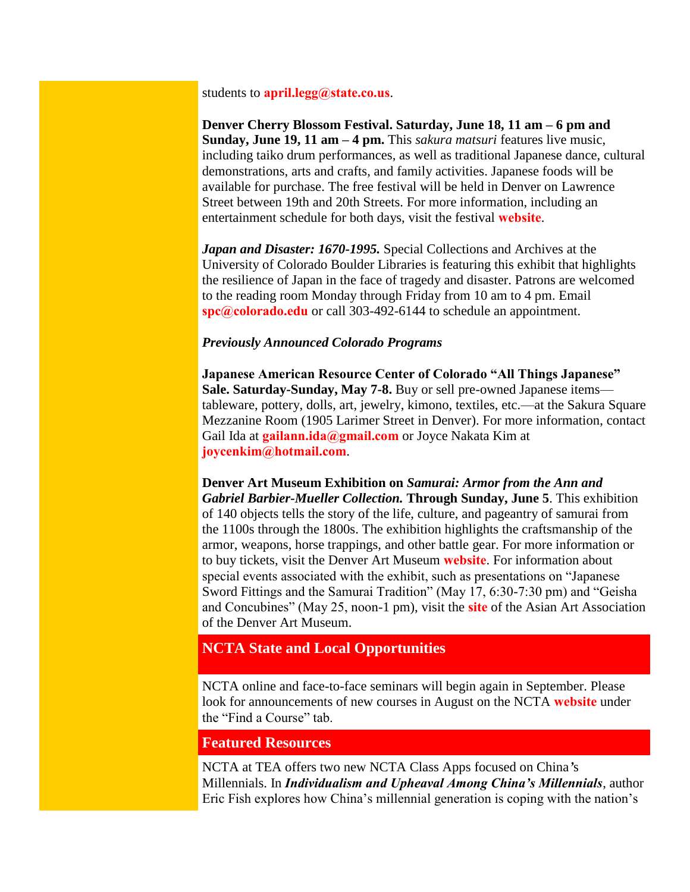students to **[april.legg@state.co.us](mailto:april.legg@state.co.us)**.

**Denver Cherry Blossom Festival. Saturday, June 18, 11 am – 6 pm and Sunday, June 19, 11 am – 4 pm.** This *sakura matsuri* features live music, including taiko drum performances, as well as traditional Japanese dance, cultural demonstrations, arts and crafts, and family activities. Japanese foods will be available for purchase. The free festival will be held in Denver on Lawrence Street between 19th and 20th Streets. For more information, including an entertainment schedule for both days, visit the festival **[website](http://cherryblossomdenver.org/)**.

*Japan and Disaster: 1670-1995.* Special Collections and Archives at the University of Colorado Boulder Libraries is featuring this exhibit that highlights the resilience of Japan in the face of tragedy and disaster. Patrons are welcomed to the reading room Monday through Friday from 10 am to 4 pm. Email **[spc@colorado.edu](mailto:spc@colorado.edu)** or call 303-492-6144 to schedule an appointment.

#### *Previously Announced Colorado Programs*

**Japanese American Resource Center of Colorado "All Things Japanese" Sale. Saturday-Sunday, May 7-8.** Buy or sell pre-owned Japanese items tableware, pottery, dolls, art, jewelry, kimono, textiles, etc.—at the Sakura Square Mezzanine Room (1905 Larimer Street in Denver). For more information, contact Gail Ida at **[gailann.ida@gmail.com](mailto:gailann.ida@gmail.com)** or Joyce Nakata Kim at **[joycenkim@hotmail.com](mailto:joycenkim@hotmail.com)**.

**Denver Art Museum Exhibition on** *Samurai: Armor from the Ann and Gabriel Barbier-Mueller Collection.* **Through Sunday, June 5**. This exhibition of 140 objects tells the story of the life, culture, and pageantry of samurai from the 1100s through the 1800s. The exhibition highlights the craftsmanship of the armor, weapons, horse trappings, and other battle gear. For more information or to buy tickets, visit the Denver Art Museum **[website](http://denverartmuseum.org/exhibitions/samurai)**. For information about special events associated with the exhibit, such as presentations on "Japanese Sword Fittings and the Samurai Tradition" (May 17, 6:30-7:30 pm) and "Geisha and Concubines" (May 25, noon-1 pm), visit the **[site](http://www.asianartassociation.org/lectures-special-events/)** of the Asian Art Association of the Denver Art Museum.

## <span id="page-1-0"></span>**NCTA State and Local Opportunities**

NCTA online and face-to-face seminars will begin again in September. Please look for announcements of new courses in August on the NCTA **[website](http://www.nctasia.org/)** under the "Find a Course" tab.

# <span id="page-1-1"></span>**Featured Resources**

NCTA at TEA offers two new NCTA Class Apps focused on China*'*s Millennials. In *Individualism and Upheaval Among China's Millennials*, author Eric Fish explores how China's millennial generation is coping with the nation's